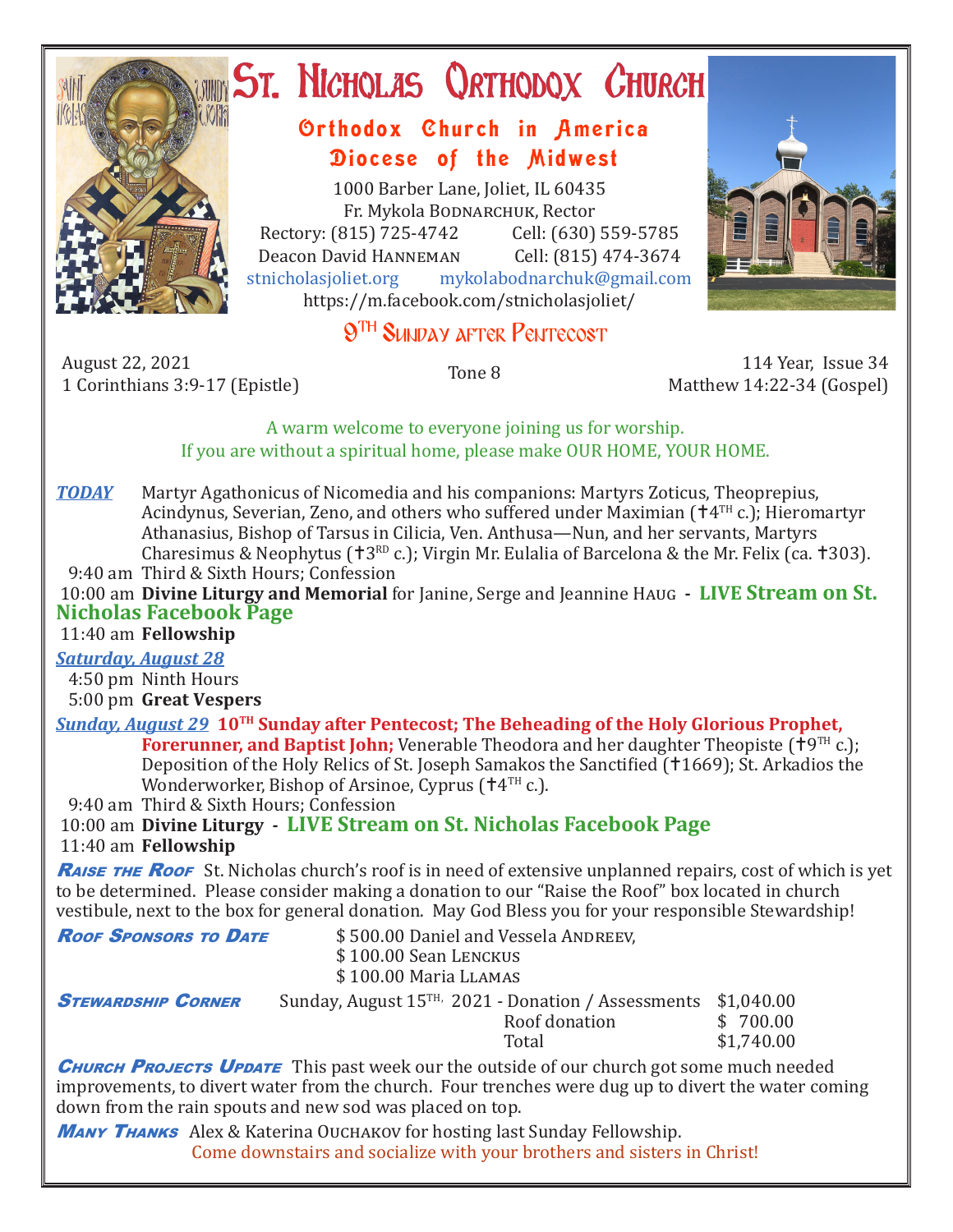

# ST. NICHOLAS QRTHODOX CHURCH

# Orthodox Church in America Diocese of the Midwest

1000 Barber Lane, Joliet, IL 60435 Fr. Mykola Bodnarchuk, Rector Rectory: (815) 725-4742 Cell: (630) 559-5785<br>Deacon David HANNEMAN Cell: (815) 474-3674 Deacon David Hanneman<br>stnicholasioliet.org mykola mykolabodnarchuk@gmail.com https://m.facebook.com/stnicholasjoliet/



# **9TH SUNDAY AFTER PENTECOST**

August 22, 2021 1 Corinthians 3:9-17 (Epistle) Tone 8 114 Year, Issue 34

Matthew 14:22-34 (Gospel)

## A warm welcome to everyone joining us for worship. If you are without a spiritual home, please make OUR HOME, YOUR HOME.

**TODAY** Martyr Agathonicus of Nicomedia and his companions: Martyrs Zoticus, Theoprepius, Acindynus, Severian, Zeno, and others who suffered under Maximian  $(\dagger 4^{TH} c.)$ ; Hieromartyr Athanasius, Bishop of Tarsus in Cilicia, Ven. Anthusa—Nun, and her servants, Martyrs Charesimus & Neophytus ( $\text{t}3^{\text{RD}}$  c.); Virgin Mr. Eulalia of Barcelona & the Mr. Felix (ca.  $\text{t}303$ ).

9:40 am Third & Sixth Hours; Confession

 10:00 am **Divine Liturgy and Memorial** for Janine, Serge and Jeannine Haug **- LIVE Stream on St. Nicholas Facebook Page**

# 11:40 am **Fellowship**

*Saturday, August 28* 4:50 pm Ninth Hours

5:00 pm **Great Vespers**

*Sunday, August 29* **10TH Sunday after Pentecost; The Beheading of the Holy Glorious Prophet,**

**Forerunner, and Baptist John;** Venerable Theodora and her daughter Theopiste ( $\uparrow$ 9<sup>TH</sup> c.); Deposition of the Holy Relics of St. Joseph Samakos the Sanctified (†1669); St. Arkadios the Wonderworker, Bishop of Arsinoe, Cyprus  $(†4<sup>TH</sup> c.)$ .

9:40 am Third & Sixth Hours; Confession

 10:00 am **Divine Liturgy - LIVE Stream on St. Nicholas Facebook Page** 11:40 am **Fellowship**

**RAISE THE ROOF** St. Nicholas church's roof is in need of extensive unplanned repairs, cost of which is yet to be determined. Please consider making a donation to our "Raise the Roof" box located in church vestibule, next to the box for general donation. May God Bless you for your responsible Stewardship!

| <b>ROOF SPONSORS TO DATE</b> | \$500.00 Daniel and Vessela ANDREEV,<br>\$100.00 Sean LENCKUS<br>\$100.00 Maria LLAMAS        |                        |  |  |  |
|------------------------------|-----------------------------------------------------------------------------------------------|------------------------|--|--|--|
| <b>STEWARDSHIP CORNER</b>    | Sunday, August $15^{TH}$ , 2021 - Donation / Assessments \$1,040.00<br>Roof donation<br>Total | \$700.00<br>\$1,740.00 |  |  |  |

**CHURCH PROJECTS UPDATE** This past week our the outside of our church got some much needed improvements, to divert water from the church. Four trenches were dug up to divert the water coming down from the rain spouts and new sod was placed on top.

**MANY THANKS** Alex & Katerina OUCHAKOV for hosting last Sunday Fellowship. Come downstairs and socialize with your brothers and sisters in Christ!